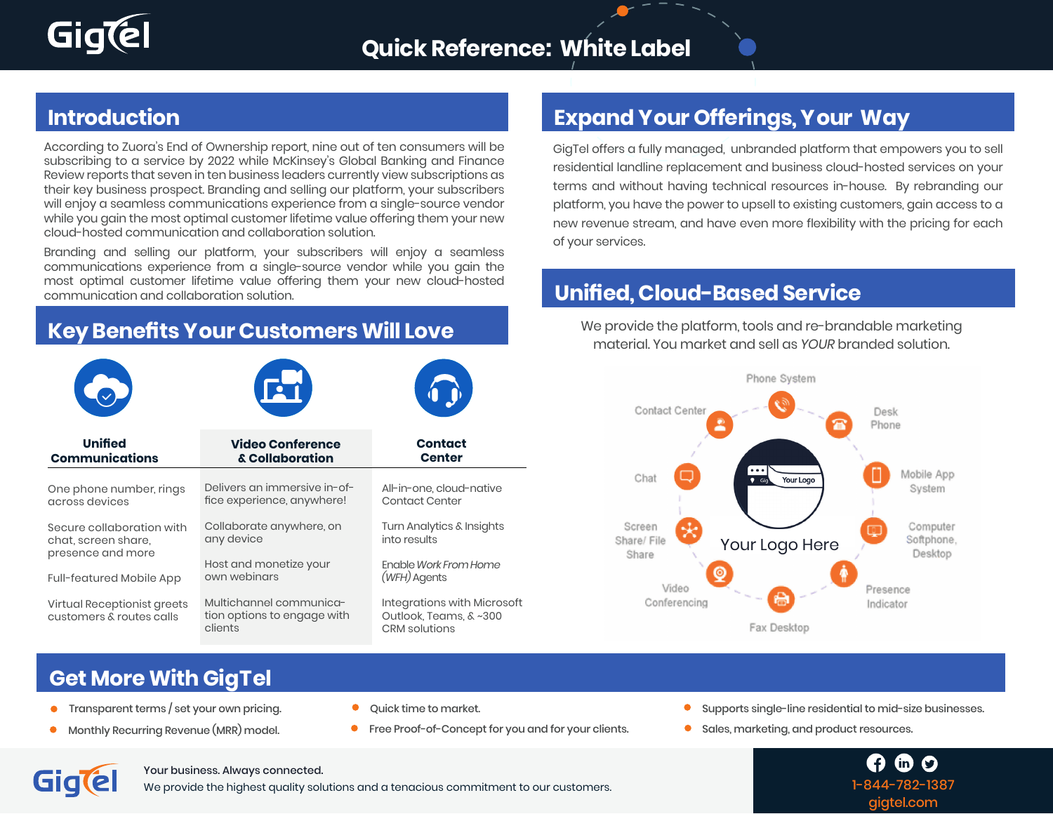

According to Zuora's End of Ownership report, nine out of ten consumers will be subscribing to a service by 2022 while McKinsey's Global Banking and Finance Review reports that seven in ten business leaders currently view subscriptions as their key business prospect. Branding and selling our platform, your subscribers will enjoy a seamless communications experience from a single-source vendor while you gain the most optimal customer lifetime value offering them your new cloud-hosted communication and collaboration solution.

Branding and selling our platform, your subscribers will enjoy a seamless communications experience from a single-source vendor while you gain the most optimal customer lifetime value offering them your new cloud-hosted communication and collaboration solution.

#### **Key Benefits Your Customers Will Love**



#### **Introduction Expand Your Offerings, Your Way**

GigTel offers a fully managed, unbranded platform that empowers you to sell residential landline replacement and business cloud-hosted services on your terms and without having technical resources in-house. By rebranding our platform, you have the power to upsell to existing customers, gain access to a new revenue stream, and have even more flexibility with the pricing for each of your services.

### **Unified, Cloud-Based Service**

We provide the platform, tools and re-brandable marketing material. You market and sell as *YOUR* branded solution.



### **Get More With GigTel**

- Transparent terms / set your own pricing.  $\bullet$
- Monthly Recurring Revenue (MRR) model.
- Quick time to market.
- **•** Free Proof-of-Concept for you and for your clients.
- Supports single-line residential to mid-size businesses.
- **C** Sales, marketing, and product resources.

 $\boldsymbol{\Omega}$ 1-844-782-1387 gigtel.com

**Gialel** 

#### Your business. Always connected.

We provide the highest quality solutions and a tenacious commitment to our customers.